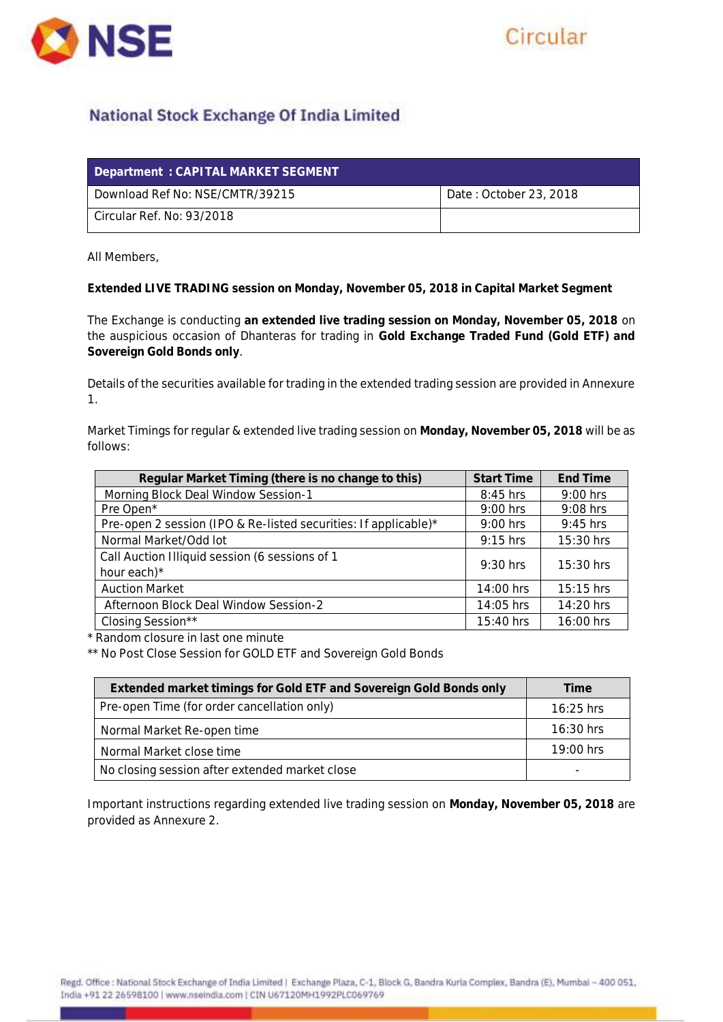



## **National Stock Exchange Of India Limited**

| Department : CAPITAL MARKET SEGMENT |                        |
|-------------------------------------|------------------------|
| Download Ref No: NSE/CMTR/39215     | Date: October 23, 2018 |
| Circular Ref. No: 93/2018           |                        |

All Members,

**Extended LIVE TRADING session on Monday, November 05, 2018 in Capital Market Segment**

The Exchange is conducting **an extended live trading session on Monday, November 05, 2018** on the auspicious occasion of Dhanteras for trading in **Gold Exchange Traded Fund (Gold ETF) and Sovereign Gold Bonds only**.

Details of the securities available for trading in the extended trading session are provided in Annexure 1.

Market Timings for regular & extended live trading session on **Monday, November 05, 2018** will be as follows:

| Regular Market Timing (there is no change to this)              | <b>Start Time</b> | End Time    |
|-----------------------------------------------------------------|-------------------|-------------|
| Morning Block Deal Window Session-1                             | 8:45 hrs          | $9:00$ hrs  |
| Pre Open*                                                       | $9:00$ hrs        | 9:08 hrs    |
| Pre-open 2 session (IPO & Re-listed securities: If applicable)* | $9:00$ hrs        | $9:45$ hrs  |
| Normal Market/Odd lot                                           | $9:15$ hrs        | 15:30 hrs   |
| Call Auction Illiquid session (6 sessions of 1<br>hour each)*   | $9:30$ hrs        | $15:30$ hrs |
| <b>Auction Market</b>                                           | 14:00 hrs         | $15:15$ hrs |
| Afternoon Block Deal Window Session-2                           | 14:05 hrs         | 14:20 hrs   |
| Closing Session**                                               | 15:40 hrs         | 16:00 hrs   |

\* Random closure in last one minute

\*\* No Post Close Session for GOLD ETF and Sovereign Gold Bonds

| Extended market timings for Gold ETF and Sovereign Gold Bonds only | Time        |
|--------------------------------------------------------------------|-------------|
| Pre-open Time (for order cancellation only)                        | $16:25$ hrs |
| Normal Market Re-open time                                         | $16:30$ hrs |
| Normal Market close time                                           | $19:00$ hrs |
| No closing session after extended market close                     |             |

Important instructions regarding extended live trading session on **Monday, November 05, 2018** are provided as Annexure 2.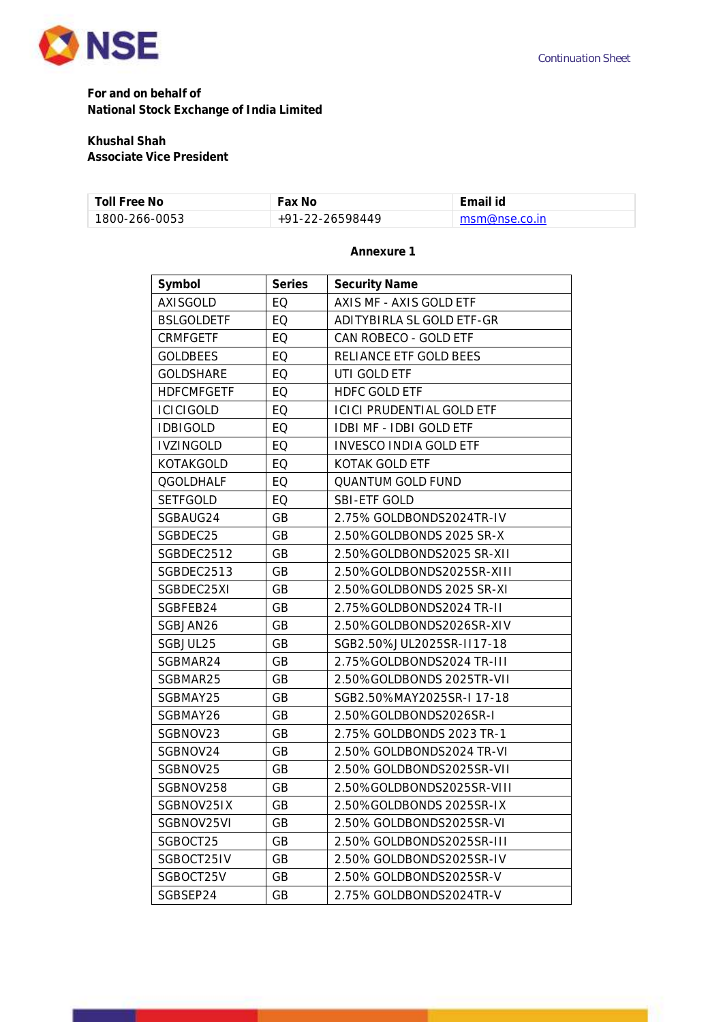

**For and on behalf of National Stock Exchange of India Limited**

## **Khushal Shah**

**Associate Vice President**

| Toll Free No  | ∙ax No                  |               |
|---------------|-------------------------|---------------|
| 1800-266-0053 | $-22-26598449$<br>⊥ Q 1 | msm@nse.co.in |

## **Annexure 1**

| Symbol            | Series    | Security Name                    |
|-------------------|-----------|----------------------------------|
| <b>AXISGOLD</b>   | EQ        | AXIS MF - AXIS GOLD ETF          |
| <b>BSLGOLDETF</b> | EQ        | ADITYBIRLA SL GOLD ETF-GR        |
| CRMFGETF          | EQ        | CAN ROBECO - GOLD ETF            |
| <b>GOLDBEES</b>   | EQ        | RELIANCE ETF GOLD BEES           |
| <b>GOLDSHARE</b>  | EQ        | UTI GOLD ETF                     |
| <b>HDFCMFGETF</b> | EQ        | <b>HDFC GOLD ETF</b>             |
| <b>ICICIGOLD</b>  | EQ        | <b>ICICI PRUDENTIAL GOLD ETF</b> |
| <b>IDBIGOLD</b>   | EQ        | IDBI MF - IDBI GOLD ETF          |
| <b>IVZINGOLD</b>  | EQ        | <b>INVESCO INDIA GOLD ETF</b>    |
| KOTAKGOLD         | EQ        | KOTAK GOLD ETF                   |
| <b>QGOLDHALF</b>  | EQ        | QUANTUM GOLD FUND                |
| <b>SETFGOLD</b>   | EQ        | SBI-ETF GOLD                     |
| SGBAUG24          | <b>GB</b> | 2.75% GOLDBONDS2024TR-IV         |
| SGBDEC25          | GB        | 2.50%GOLDBONDS 2025 SR-X         |
| SGBDEC2512        | <b>GB</b> | 2.50%GOLDBONDS2025 SR-XII        |
| SGBDEC2513        | <b>GB</b> | 2.50%GOLDBONDS2025SR-XIII        |
| SGBDEC25XI        | <b>GB</b> | 2.50%GOLDBONDS 2025 SR-XI        |
| SGBFEB24          | <b>GB</b> | 2.75%GOLDBONDS2024 TR-II         |
| SGBJAN26          | GB        | 2.50%GOLDBONDS2026SR-XIV         |
| SGBJUL25          | GB        | SGB2.50%JUL2025SR-II17-18        |
| SGBMAR24          | GB        | 2.75%GOLDBONDS2024 TR-III        |
| SGBMAR25          | GB        | 2.50%GOLDBONDS 2025TR-VII        |
| SGBMAY25          | <b>GB</b> | SGB2.50%MAY2025SR-I 17-18        |
| SGBMAY26          | GB        | 2.50%GOLDBONDS2026SR-I           |
| SGBNOV23          | <b>GB</b> | 2.75% GOLDBONDS 2023 TR-1        |
| SGBNOV24          | GB        | 2.50% GOLDBONDS2024 TR-VI        |
| SGBNOV25          | GB        | 2.50% GOLDBONDS2025SR-VII        |
| SGBNOV258         | GB        | 2.50%GOLDBONDS2025SR-VIII        |
| SGBNOV25IX        | GB        | 2.50%GOLDBONDS 2025SR-IX         |
| SGBNOV25VI        | GB        | 2.50% GOLDBONDS2025SR-VI         |
| SGBOCT25          | <b>GB</b> | 2.50% GOLDBONDS2025SR-III        |
| SGBOCT25IV        | <b>GB</b> | 2.50% GOLDBONDS2025SR-IV         |
| SGBOCT25V         | <b>GB</b> | 2.50% GOLDBONDS2025SR-V          |
| SGBSEP24          | GB        | 2.75% GOLDBONDS2024TR-V          |